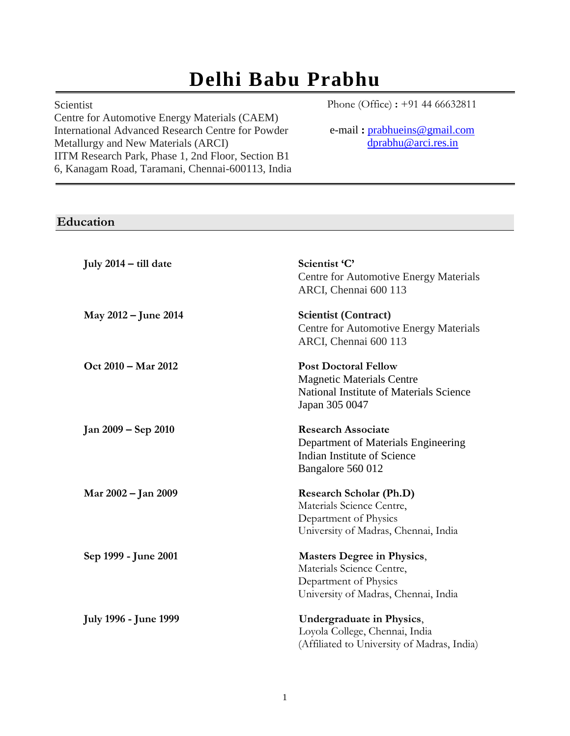# **Delhi Babu Prabhu**

#### Scientist

Centre for Automotive Energy Materials (CAEM) International Advanced Research Centre for Powder Metallurgy and New Materials (ARCI) IITM Research Park, Phase 1, 2nd Floor, Section B1 6, Kanagam Road, Taramani, Chennai-600113, India Phone (Office) **:** +91 44 66632811

e-mail **:** [prabhueins@gmail.com](mailto:prabhueins@gmail.com) [dprabhu@arci.res.in](mailto:dprabhu@arci.res.in)

# **Education**

| July $2014 -$ till date      | Scientist 'C'<br>Centre for Automotive Energy Materials<br>ARCI, Chennai 600 113                                                |
|------------------------------|---------------------------------------------------------------------------------------------------------------------------------|
| May 2012 – June 2014         | <b>Scientist (Contract)</b><br><b>Centre for Automotive Energy Materials</b><br>ARCI, Chennai 600 113                           |
| Oct 2010 - Mar 2012          | <b>Post Doctoral Fellow</b><br><b>Magnetic Materials Centre</b><br>National Institute of Materials Science<br>Japan 305 0047    |
| Jan 2009 – Sep 2010          | <b>Research Associate</b><br>Department of Materials Engineering<br>Indian Institute of Science<br>Bangalore 560 012            |
| Mar 2002 – Jan 2009          | <b>Research Scholar (Ph.D)</b><br>Materials Science Centre,<br>Department of Physics<br>University of Madras, Chennai, India    |
| Sep 1999 - June 2001         | <b>Masters Degree in Physics,</b><br>Materials Science Centre,<br>Department of Physics<br>University of Madras, Chennai, India |
| <b>July 1996 - June 1999</b> | Undergraduate in Physics,<br>Loyola College, Chennai, India<br>(Affiliated to University of Madras, India)                      |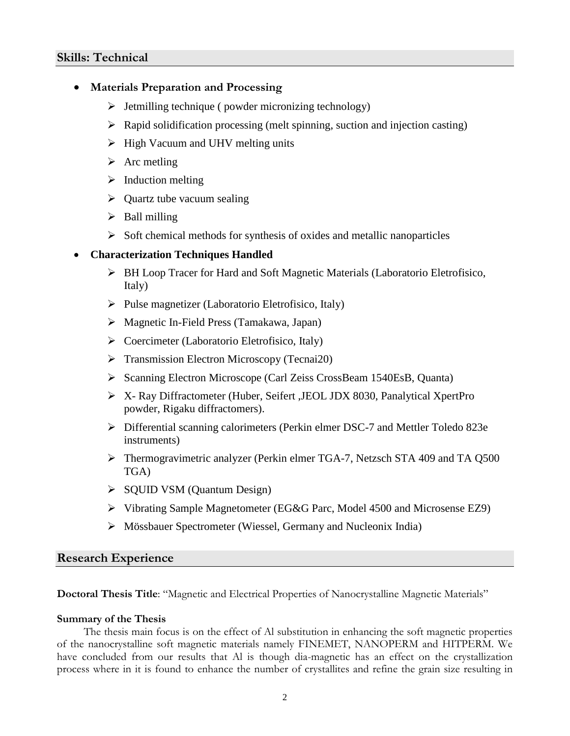- **Materials Preparation and Processing**
	- ➢ Jetmilling technique ( powder micronizing technology)
	- $\triangleright$  Rapid solidification processing (melt spinning, suction and injection casting)
	- $\triangleright$  High Vacuum and UHV melting units
	- $\triangleright$  Arc metling
	- $\triangleright$  Induction melting
	- $\triangleright$  Quartz tube vacuum sealing
	- ➢ Ball milling
	- $\triangleright$  Soft chemical methods for synthesis of oxides and metallic nanoparticles

#### • **Characterization Techniques Handled**

- ➢ BH Loop Tracer for Hard and Soft Magnetic Materials (Laboratorio Eletrofisico, Italy)
- ➢ Pulse magnetizer (Laboratorio Eletrofisico, Italy)
- ➢ Magnetic In-Field Press (Tamakawa, Japan)
- ➢ Coercimeter (Laboratorio Eletrofisico, Italy)
- ➢ Transmission Electron Microscopy (Tecnai20)
- ➢ Scanning Electron Microscope [\(Carl Zeiss CrossBeam 1540EsB,](http://www.nims.go.jp/apfim/gif/CrossBeam1540EsB.gif) Quanta)
- ➢ X- Ray Diffractometer (Huber, Seifert ,JEOL JDX 8030, Panalytical XpertPro powder, Rigaku diffractomers).
- ➢ Differential scanning calorimeters (Perkin elmer DSC-7 and Mettler Toledo 823e instruments)
- ➢ Thermogravimetric analyzer (Perkin elmer TGA-7, Netzsch STA 409 and TA Q500 TGA)
- ➢ SQUID VSM (Quantum Design)
- ➢ Vibrating Sample Magnetometer (EG&G Parc, Model 4500 and Microsense EZ9)
- ➢ Mössbauer Spectrometer (Wiessel, Germany and Nucleonix India)

#### **Research Experience**

**Doctoral Thesis Title**: "Magnetic and Electrical Properties of Nanocrystalline Magnetic Materials"

#### **Summary of the Thesis**

The thesis main focus is on the effect of Al substitution in enhancing the soft magnetic properties of the nanocrystalline soft magnetic materials namely FINEMET, NANOPERM and HITPERM. We have concluded from our results that Al is though dia-magnetic has an effect on the crystallization process where in it is found to enhance the number of crystallites and refine the grain size resulting in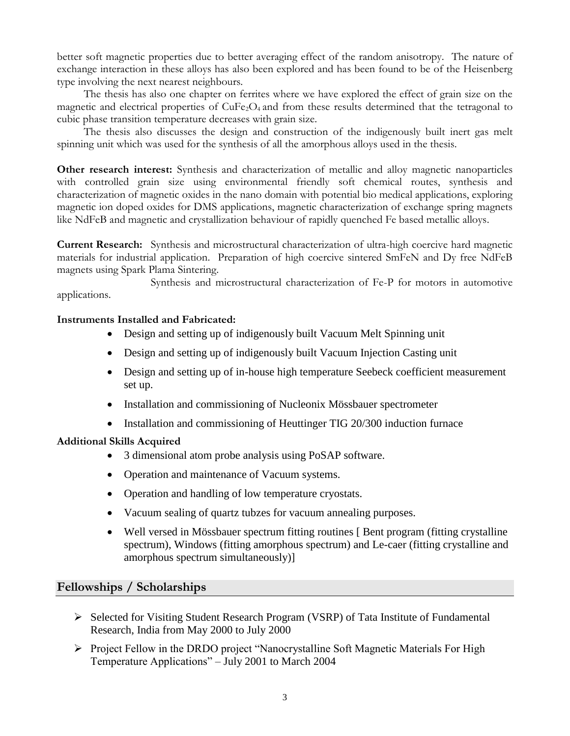better soft magnetic properties due to better averaging effect of the random anisotropy. The nature of exchange interaction in these alloys has also been explored and has been found to be of the Heisenberg type involving the next nearest neighbours.

The thesis has also one chapter on ferrites where we have explored the effect of grain size on the magnetic and electrical properties of CuFe<sub>2</sub>O<sub>4</sub> and from these results determined that the tetragonal to cubic phase transition temperature decreases with grain size.

The thesis also discusses the design and construction of the indigenously built inert gas melt spinning unit which was used for the synthesis of all the amorphous alloys used in the thesis.

**Other research interest:** Synthesis and characterization of metallic and alloy magnetic nanoparticles with controlled grain size using environmental friendly soft chemical routes, synthesis and characterization of magnetic oxides in the nano domain with potential bio medical applications, exploring magnetic ion doped oxides for DMS applications, magnetic characterization of exchange spring magnets like NdFeB and magnetic and crystallization behaviour of rapidly quenched Fe based metallic alloys.

**Current Research:** Synthesis and microstructural characterization of ultra-high coercive hard magnetic materials for industrial application. Preparation of high coercive sintered SmFeN and Dy free NdFeB magnets using Spark Plama Sintering.

Synthesis and microstructural characterization of Fe-P for motors in automotive applications.

#### **Instruments Installed and Fabricated:**

- Design and setting up of indigenously built Vacuum Melt Spinning unit
- Design and setting up of indigenously built Vacuum Injection Casting unit
- Design and setting up of in-house high temperature Seebeck coefficient measurement set up.
- Installation and commissioning of Nucleonix Mössbauer spectrometer
- Installation and commissioning of Heuttinger TIG 20/300 induction furnace

#### **Additional Skills Acquired**

- 3 dimensional atom probe analysis using PoSAP software.
- Operation and maintenance of Vacuum systems.
- Operation and handling of low temperature cryostats.
- Vacuum sealing of quartz tubzes for vacuum annealing purposes.
- Well versed in Mössbauer spectrum fitting routines [Bent program (fitting crystalline spectrum), Windows (fitting amorphous spectrum) and Le-caer (fitting crystalline and amorphous spectrum simultaneously)]

#### **Fellowships / Scholarships**

- ➢ Selected for Visiting Student Research Program (VSRP) of Tata Institute of Fundamental Research, India from May 2000 to July 2000
- ➢ Project Fellow in the DRDO project "Nanocrystalline Soft Magnetic Materials For High Temperature Applications" – July 2001 to March 2004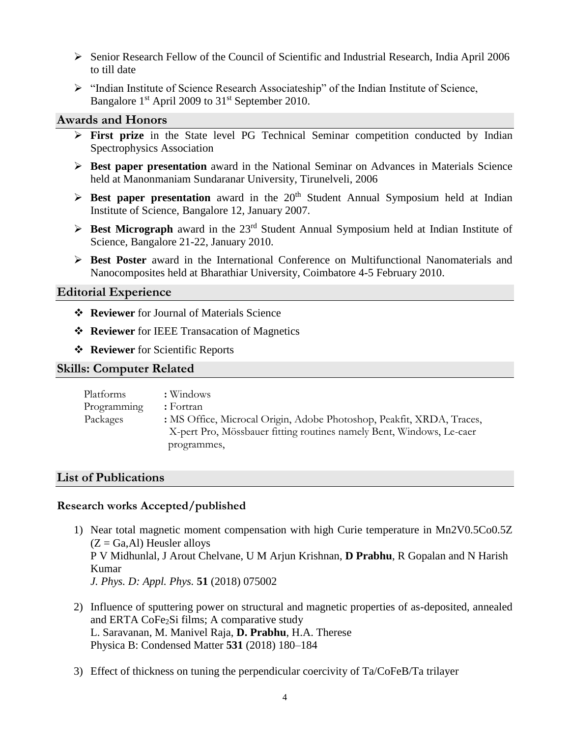- ➢ Senior Research Fellow of the Council of Scientific and Industrial Research, India April 2006 to till date
- ➢ "Indian Institute of Science Research Associateship" of the Indian Institute of Science, Bangalore 1<sup>st</sup> April 2009 to 31<sup>st</sup> September 2010.

#### **Awards and Honors**

- ➢ **First prize** in the State level PG Technical Seminar competition conducted by Indian Spectrophysics Association
- ➢ **Best paper presentation** award in the National Seminar on Advances in Materials Science held at Manonmaniam Sundaranar University, Tirunelveli, 2006
- $\triangleright$  **Best paper presentation** award in the 20<sup>th</sup> Student Annual Symposium held at Indian Institute of Science, Bangalore 12, January 2007.
- $\triangleright$  **Best Micrograph** award in the 23<sup>rd</sup> Student Annual Symposium held at Indian Institute of Science, Bangalore 21-22, January 2010.
- ➢ **Best Poster** award in the International Conference on Multifunctional Nanomaterials and Nanocomposites held at Bharathiar University, Coimbatore 4-5 February 2010.

#### **Editorial Experience**

- ❖ **Reviewer** for Journal of Materials Science
- ❖ **Reviewer** for IEEE Transacation of Magnetics
- ❖ **Reviewer** for Scientific Reports

#### **Skills: Computer Related**

| Platforms   | : Windows                                                             |
|-------------|-----------------------------------------------------------------------|
| Programming | $:$ Fortran                                                           |
| Packages    | : MS Office, Microcal Origin, Adobe Photoshop, Peakfit, XRDA, Traces, |
|             | X-pert Pro, Mössbauer fitting routines namely Bent, Windows, Le-caer  |
|             | programmes,                                                           |

#### **List of Publications**

#### **Research works Accepted/published**

- 1) Near total magnetic moment compensation with high Curie temperature in Mn2V0.5Co0.5Z  $(Z = Ga, Al)$  Heusler alloys P V Midhunlal, J Arout Chelvane, U M Arjun Krishnan, **D Prabhu**, R Gopalan and N Harish Kumar *J. Phys. D: Appl. Phys.* **51** (2018) 075002
- 2) Influence of sputtering power on structural and magnetic properties of as-deposited, annealed and ERTA  $CoFe<sub>2</sub>Si$  films; A comparative study L. Saravanan, M. Manivel Raja, **D. Prabhu**, H.A. Therese Physica B: Condensed Matter **531** (2018) 180–184
- 3) Effect of thickness on tuning the perpendicular coercivity of Ta/CoFeB/Ta trilayer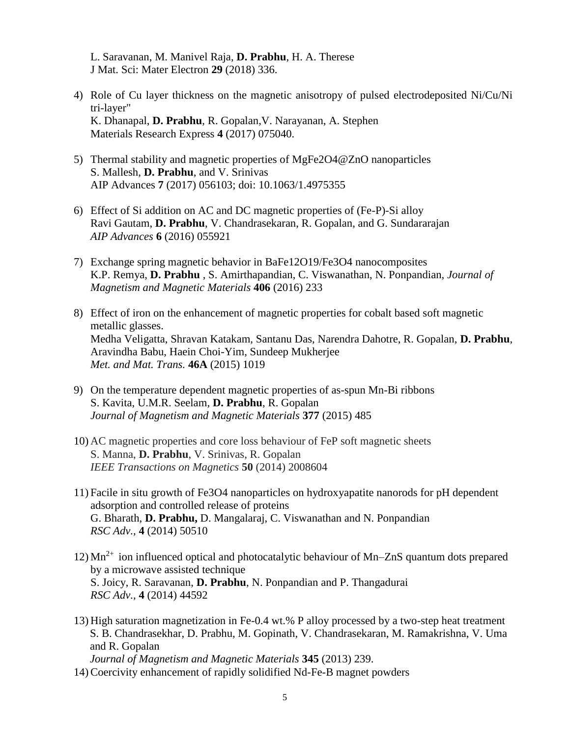L. Saravanan, M. Manivel Raja, **D. Prabhu**, H. A. Therese J Mat. Sci: Mater Electron **29** (2018) 336.

- 4) Role of Cu layer thickness on the magnetic anisotropy of pulsed electrodeposited Ni/Cu/Ni tri-layer" K. Dhanapal, **D. Prabhu**, R. Gopalan,V. Narayanan, A. Stephen Materials Research Express **4** (2017) 075040.
- 5) Thermal stability and magnetic properties of MgFe2O4@ZnO nanoparticles S. Mallesh, **D. Prabhu**, and V. Srinivas AIP Advances **7** (2017) 056103; doi: 10.1063/1.4975355
- 6) Effect of Si addition on AC and DC magnetic properties of (Fe-P)-Si alloy Ravi Gautam, **D. Prabhu**, V. Chandrasekaran, R. Gopalan, and G. Sundararajan *AIP Advances* **6** (2016) 055921
- 7) Exchange spring magnetic behavior in BaFe12O19/Fe3O4 nanocomposites K.P. Remya, **D. Prabhu** , S. Amirthapandian, C. Viswanathan, N. Ponpandian, *Journal of Magnetism and Magnetic Materials* **406** (2016) 233
- 8) Effect of iron on the enhancement of magnetic properties for cobalt based soft magnetic metallic glasses. Medha Veligatta, Shravan Katakam, Santanu Das, Narendra Dahotre, R. Gopalan, **D. Prabhu**, Aravindha Babu, Haein Choi-Yim, Sundeep Mukherjee *Met. and Mat. Trans.* **46A** (2015) 1019
- 9) On the temperature dependent magnetic properties of as-spun Mn-Bi ribbons S. Kavita, U.M.R. Seelam, **D. Prabhu**, R. Gopalan *Journal of Magnetism and Magnetic Materials* **377** (2015) 485
- 10) AC magnetic properties and core loss behaviour of FeP soft magnetic sheets S. Manna, **D. Prabhu**, V. Srinivas, R. Gopalan *IEEE Transactions on Magnetics* **50** (2014) 2008604
- 11) Facile in situ growth of Fe3O4 nanoparticles on hydroxyapatite nanorods for pH dependent adsorption and controlled release of proteins G. Bharath, **D. Prabhu,** D. Mangalaraj, C. Viswanathan and N. Ponpandian *RSC Adv.,* **4** (2014) 50510
- 12)  $Mn^{2+}$  ion influenced optical and photocatalytic behaviour of  $Mn$ -ZnS quantum dots prepared by a microwave assisted technique S. Joicy, R. Saravanan, **D. Prabhu**, N. Ponpandian and P. Thangadurai *RSC Adv.,* **4** (2014) 44592
- 13) High saturation magnetization in Fe-0.4 wt.% P alloy processed by a two-step heat treatment S. B. Chandrasekhar, D. Prabhu, M. Gopinath, V. Chandrasekaran, M. Ramakrishna, V. Uma and R. Gopalan *Journal of Magnetism and Magnetic Materials* **345** (2013) 239.
- 14) Coercivity enhancement of rapidly solidified Nd-Fe-B magnet powders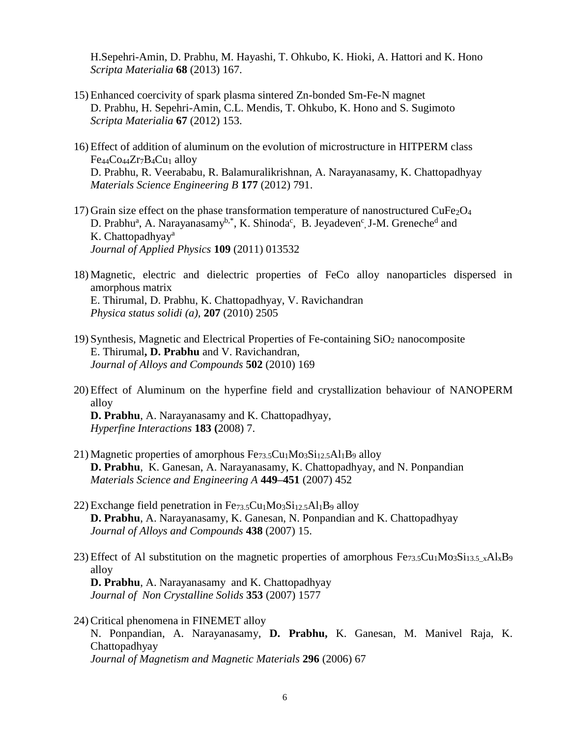H.Sepehri-Amin, D. Prabhu, M. Hayashi, T. Ohkubo, K. Hioki, A. Hattori and K. Hono *Scripta Materialia* **68** (2013) 167.

- 15) Enhanced coercivity of spark plasma sintered Zn-bonded Sm-Fe-N magnet D. Prabhu, H. Sepehri-Amin, C.L. Mendis, T. Ohkubo, K. Hono and S. Sugimoto *Scripta Materialia* **67** (2012) 153.
- 16) Effect of addition of aluminum on the evolution of microstructure in HITPERM class Fe<sub>44</sub>C<sub>044</sub>Z<sub>r7</sub>B<sub>4</sub>C<sub>u1</sub> alloy D. Prabhu, R. Veerababu, R. Balamuralikrishnan, A. Narayanasamy, K. Chattopadhyay *Materials Science Engineering B* **177** (2012) 791.
- 17) Grain size effect on the phase transformation temperature of nanostructured  $CuFe<sub>2</sub>O<sub>4</sub>$ D. Prabhu<sup>a</sup>, A. Narayanasamy<sup>b,\*</sup>, K. Shinoda<sup>c</sup>, B. Jeyadeven<sup>c</sup>, J-M. Greneche<sup>d</sup> and K. Chattopadhyay<sup>a</sup> *Journal of Applied Physics* **109** (2011) 013532
- 18) Magnetic, electric and dielectric properties of FeCo alloy nanoparticles dispersed in amorphous matrix E. Thirumal, D. Prabhu, K. Chattopadhyay, V. Ravichandran *Physica status solidi (a),* **207** (2010) 2505
- 19) Synthesis, Magnetic and Electrical Properties of Fe-containing  $SiO<sub>2</sub>$  nanocomposite E. Thirumal**, D. Prabhu** and V. Ravichandran, *Journal of Alloys and Compounds* **502** (2010) 169
- 20) Effect of Aluminum on the hyperfine field and crystallization behaviour of NANOPERM alloy

**D. Prabhu**, A. Narayanasamy and K. Chattopadhyay, *Hyperfine Interactions* **183 (**2008) 7.

- 21) Magnetic properties of amorphous  $Fe<sub>73.5</sub>Cu<sub>1</sub>Mo<sub>3</sub>Si<sub>12.5</sub>Al<sub>1</sub>B<sub>9</sub>$  alloy **D. Prabhu**, K. Ganesan, A. Narayanasamy, K. Chattopadhyay, and N. Ponpandian *Materials Science and Engineering A* **449–451** (2007) 452
- 22) Exchange field penetration in  $Fe<sub>73.5</sub>Cu<sub>1</sub>Mo<sub>3</sub>Si<sub>12.5</sub>Al<sub>1</sub>B<sub>9</sub>$  alloy **D. Prabhu**, A. Narayanasamy, K. Ganesan, N. Ponpandian and K. Chattopadhyay *Journal of Alloys and Compounds* **438** (2007) 15.
- 23) Effect of Al substitution on the magnetic properties of amorphous  $Fe_{73.5}Cu_1Mo_3Si_{13.5}$   $_{x}Al_xB_9$ alloy **D. Prabhu**, A. Narayanasamy and K. Chattopadhyay *Journal of Non Crystalline Solids* **353** (2007) 1577
- 24) Critical phenomena in FINEMET alloy N. Ponpandian, A. Narayanasamy, **D. Prabhu,** K. Ganesan, M. Manivel Raja, K. Chattopadhyay *Journal of Magnetism and Magnetic Materials* **296** (2006) 67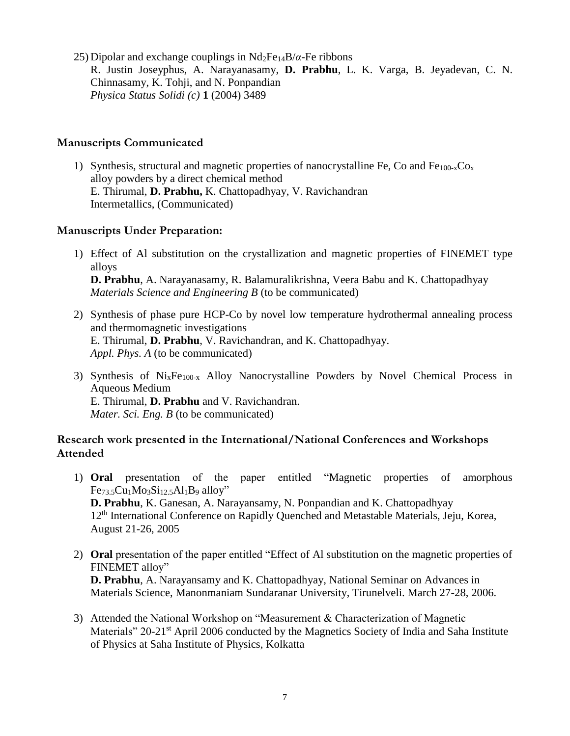25) Dipolar and exchange couplings in  $Nd_2Fe_{14}B/\alpha$ -Fe ribbons R. Justin Joseyphus, A. Narayanasamy, **D. Prabhu**, L. K. Varga, B. Jeyadevan, C. N. Chinnasamy, K. Tohji, and N. Ponpandian *Physica Status Solidi (c)* **1** (2004) 3489

## **Manuscripts Communicated**

1) Synthesis, structural and magnetic properties of nanocrystalline Fe, Co and Fe<sub>100-x</sub>Co<sub>x</sub> alloy powders by a direct chemical method E. Thirumal, **D. Prabhu,** K. Chattopadhyay, V. Ravichandran Intermetallics, (Communicated)

# **Manuscripts Under Preparation:**

- 1) Effect of Al substitution on the crystallization and magnetic properties of FINEMET type alloys **D. Prabhu**, A. Narayanasamy, R. Balamuralikrishna, Veera Babu and K. Chattopadhyay *Materials Science and Engineering B* (to be communicated)
- 2) Synthesis of phase pure HCP-Co by novel low temperature hydrothermal annealing process and thermomagnetic investigations E. Thirumal, **D. Prabhu**, V. Ravichandran, and K. Chattopadhyay. *Appl. Phys. A* (to be communicated)
- 3) Synthesis of  $Ni_xFe_{100-x}$  Alloy Nanocrystalline Powders by Novel Chemical Process in Aqueous Medium E. Thirumal, **D. Prabhu** and V. Ravichandran. *Mater. Sci. Eng. B* (to be communicated)

# **Research work presented in the International/National Conferences and Workshops Attended**

- 1) **Oral** presentation of the paper entitled "Magnetic properties of amorphous  $Fe<sub>73.5</sub>Cu<sub>1</sub>Mo<sub>3</sub>Si<sub>12.5</sub>Al<sub>1</sub>B<sub>9</sub> alloy"$ **D. Prabhu**, K. Ganesan, A. Narayansamy, N. Ponpandian and K. Chattopadhyay 12<sup>th</sup> International Conference on Rapidly Quenched and Metastable Materials, Jeju, Korea, August 21-26, 2005
- 2) **Oral** presentation of the paper entitled "Effect of Al substitution on the magnetic properties of FINEMET alloy" **D. Prabhu**, A. Narayansamy and K. Chattopadhyay, National Seminar on Advances in Materials Science, Manonmaniam Sundaranar University, Tirunelveli. March 27-28, 2006.
- 3) Attended the National Workshop on "Measurement & Characterization of Magnetic Materials" 20-21<sup>st</sup> April 2006 conducted by the Magnetics Society of India and Saha Institute of Physics at Saha Institute of Physics, Kolkatta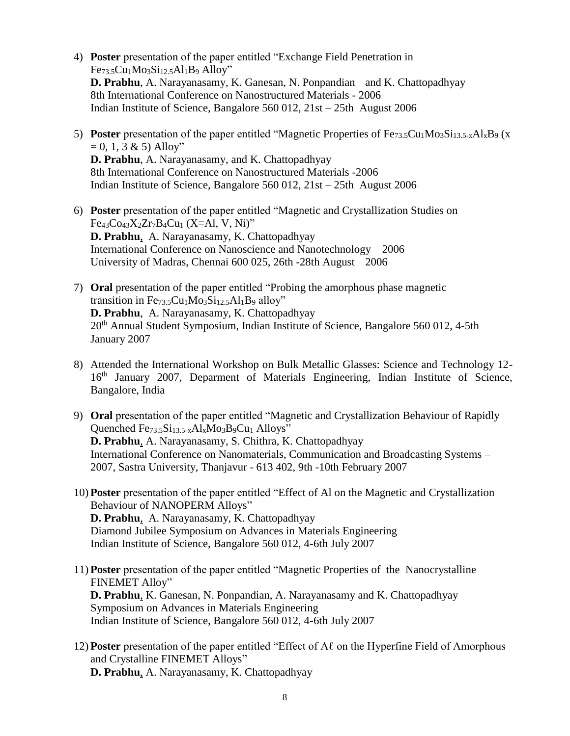- 4) **Poster** presentation of the paper entitled "Exchange Field Penetration in Fe73.5Cu1Mo3Si12.5Al1B<sup>9</sup> Alloy" **D. Prabhu**, A. Narayanasamy, K. Ganesan, N. Ponpandian and K. Chattopadhyay 8th International Conference on Nanostructured Materials - 2006 Indian Institute of Science, Bangalore 560 012, 21st – 25th August 2006
- 5) **Poster** presentation of the paper entitled "Magnetic Properties of Fe $_{73.5}$ Cu<sub>1</sub>Mo<sub>3</sub>Si<sub>13.5-x</sub>Al<sub>x</sub>B<sub>9</sub> (x  $= 0, 1, 3 \& 5)$  Alloy" **D. Prabhu**, A. Narayanasamy, and K. Chattopadhyay 8th International Conference on Nanostructured Materials -2006 Indian Institute of Science, Bangalore 560 012, 21st – 25th August 2006
- 6) **Poster** presentation of the paper entitled "Magnetic and Crystallization Studies on Fe43Co43X2Zr7B4Cu<sup>1</sup> (X=Al, V, Ni)" **D. Prabhu**, A. Narayanasamy, K. Chattopadhyay International Conference on Nanoscience and Nanotechnology – 2006 University of Madras, Chennai 600 025, 26th -28th August 2006
- 7) **Oral** presentation of the paper entitled "Probing the amorphous phase magnetic transition in Fe $_{73.5}Cu<sub>1</sub>Mo<sub>3</sub>Si<sub>12.5</sub>Al<sub>1</sub>B<sub>9</sub>$  alloy" **D. Prabhu**, A. Narayanasamy, K. Chattopadhyay 20<sup>th</sup> Annual Student Symposium, Indian Institute of Science, Bangalore 560 012, 4-5th January 2007
- 8) Attended the International Workshop on Bulk Metallic Glasses: Science and Technology 12- 16<sup>th</sup> January 2007, Deparment of Materials Engineering, Indian Institute of Science, Bangalore, India
- 9) **Oral** presentation of the paper entitled "Magnetic and Crystallization Behaviour of Rapidly Quenched  $Fe_{73.5}Si_{13.5-x}Al_xMo_3B_9Cu_1$  Alloys" **D. Prabhu**, A. Narayanasamy, S. Chithra*,* K. Chattopadhyay International Conference on Nanomaterials, Communication and Broadcasting Systems – 2007, Sastra University, Thanjavur - 613 402, 9th -10th February 2007
- 10) **Poster** presentation of the paper entitled "Effect of Al on the Magnetic and Crystallization Behaviour of NANOPERM Alloys" **D. Prabhu**, A. Narayanasamy, K. Chattopadhyay Diamond Jubilee Symposium on Advances in Materials Engineering Indian Institute of Science, Bangalore 560 012, 4-6th July 2007
- 11) **Poster** presentation of the paper entitled "Magnetic Properties of the Nanocrystalline FINEMET Alloy" **D. Prabhu**, K. Ganesan, N. Ponpandian, A. Narayanasamy and K. Chattopadhyay Symposium on Advances in Materials Engineering Indian Institute of Science, Bangalore 560 012, 4-6th July 2007
- 12) **Poster** presentation of the paper entitled "Effect of Aℓ on the Hyperfine Field of Amorphous and Crystalline FINEMET Alloys" **D. Prabhu**, A. Narayanasamy, K. Chattopadhyay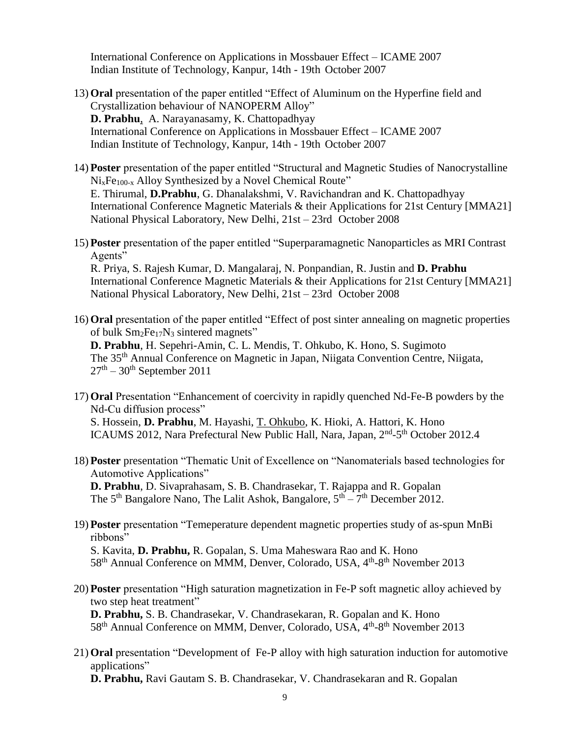International Conference on Applications in Mossbauer Effect – ICAME 2007 Indian Institute of Technology, Kanpur, 14th - 19th October 2007

- 13) **Oral** presentation of the paper entitled "Effect of Aluminum on the Hyperfine field and Crystallization behaviour of NANOPERM Alloy" **D. Prabhu**, A. Narayanasamy, K. Chattopadhyay International Conference on Applications in Mossbauer Effect – ICAME 2007 Indian Institute of Technology, Kanpur, 14th - 19th October 2007
- 14) **Poster** presentation of the paper entitled "Structural and Magnetic Studies of Nanocrystalline  $Ni<sub>x</sub>Fe<sub>100-x</sub>$  Alloy Synthesized by a Novel Chemical Route" E. Thirumal, **D.Prabhu**, G. Dhanalakshmi, V. Ravichandran and K. Chattopadhyay [International Conference](http://www.magneticconf-mma21.com/msi/msi.html##) Magnetic Materials & their Applications for 21st Century [MMA21] National Physical Laboratory, New Delhi, 21st – 23rd October 2008
- 15) **Poster** presentation of the paper entitled "Superparamagnetic Nanoparticles as MRI Contrast Agents" R. Priya, S. Rajesh Kumar, D. Mangalaraj, N. Ponpandian, R. Justin and **D. Prabhu** [International Conference](http://www.magneticconf-mma21.com/msi/msi.html##) Magnetic Materials & their Applications for 21st Century [MMA21] National Physical Laboratory, New Delhi, 21st – 23rd October 2008
- 16) **Oral** presentation of the paper entitled "Effect of post sinter annealing on magnetic properties of bulk  $Sm<sub>2</sub>Fe<sub>17</sub>N<sub>3</sub>$  sintered magnets" **D. Prabhu**, H. Sepehri-Amin, C. L. Mendis, T. Ohkubo, K. Hono, S. Sugimoto The 35th Annual Conference on Magnetic in Japan, Niigata Convention Centre, Niigata,  $27<sup>th</sup> - 30<sup>th</sup>$  September 2011
- 17) **Oral** Presentation "Enhancement of coercivity in rapidly quenched Nd-Fe-B powders by the Nd-Cu diffusion process" S. Hossein, **D. Prabhu**, M. Hayashi, T. Ohkubo, K. Hioki, A. Hattori, K. Hono ICAUMS 2012, Nara Prefectural New Public Hall, Nara, Japan, 2<sup>nd</sup>-5<sup>th</sup> October 2012.4
- 18) **Poster** presentation "Thematic Unit of Excellence on "Nanomaterials based technologies for Automotive Applications" **D. Prabhu**, D. Sivaprahasam, S. B. Chandrasekar, T. Rajappa and R. Gopalan The  $5<sup>th</sup>$  Bangalore Nano, The Lalit Ashok, Bangalore,  $5<sup>th</sup> - 7<sup>th</sup>$  December 2012.
- 19) **Poster** presentation "Temeperature dependent magnetic properties study of as-spun MnBi ribbons" S. Kavita, **D. Prabhu,** R. Gopalan, S. Uma Maheswara Rao and K. Hono 58<sup>th</sup> Annual Conference on MMM, Denver, Colorado, USA, 4<sup>th</sup>-8<sup>th</sup> November 2013
- 20) **Poster** presentation "High saturation magnetization in Fe-P soft magnetic alloy achieved by two step heat treatment" **D. Prabhu,** S. B. Chandrasekar, V. Chandrasekaran, R. Gopalan and K. Hono 58<sup>th</sup> Annual Conference on MMM, Denver, Colorado, USA, 4<sup>th</sup>-8<sup>th</sup> November 2013
- 21) **Oral** presentation "Development of Fe-P alloy with high saturation induction for automotive applications" **D. Prabhu,** Ravi Gautam S. B. Chandrasekar, V. Chandrasekaran and R. Gopalan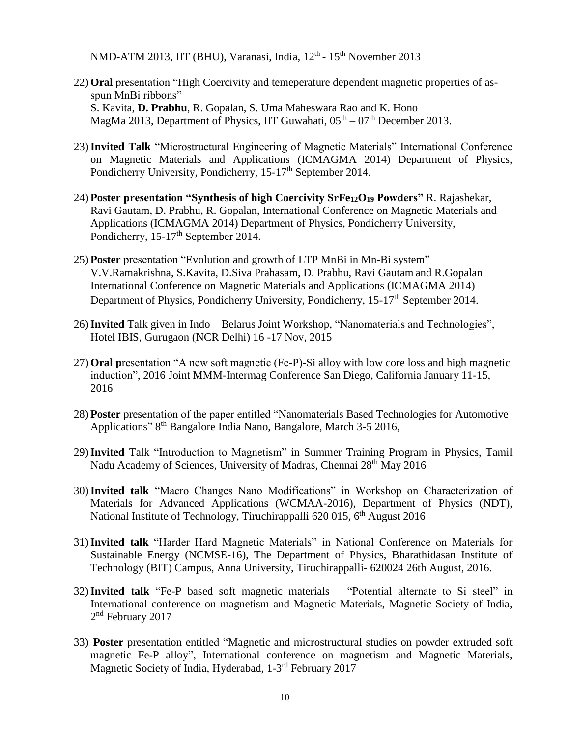NMD-ATM 2013, IIT (BHU), Varanasi, India, 12<sup>th</sup> - 15<sup>th</sup> November 2013

- 22) **Oral** presentation "High Coercivity and temeperature dependent magnetic properties of asspun MnBi ribbons" S. Kavita, **D. Prabhu**, R. Gopalan, S. Uma Maheswara Rao and K. Hono MagMa 2013, Department of Physics, IIT Guwahati,  $05<sup>th</sup> - 07<sup>th</sup>$  December 2013.
- 23)**Invited Talk** "Microstructural Engineering of Magnetic Materials" International Conference on Magnetic Materials and Applications (ICMAGMA 2014) Department of Physics, Pondicherry University, Pondicherry, 15-17<sup>th</sup> September 2014.
- 24) **Poster presentation "Synthesis of high Coercivity SrFe12O<sup>19</sup> Powders"** R. Rajashekar, Ravi Gautam, D. Prabhu, R. Gopalan, International Conference on Magnetic Materials and Applications (ICMAGMA 2014) Department of Physics, Pondicherry University, Pondicherry, 15-17<sup>th</sup> September 2014.
- 25) **Poster** presentation "Evolution and growth of LTP MnBi in Mn-Bi system" V.V.Ramakrishna, S.Kavita, D.Siva Prahasam, D. Prabhu, Ravi Gautam and R.Gopalan International Conference on Magnetic Materials and Applications (ICMAGMA 2014) Department of Physics, Pondicherry University, Pondicherry, 15-17<sup>th</sup> September 2014.
- 26)**Invited** Talk given in Indo Belarus Joint Workshop, "Nanomaterials and Technologies", Hotel IBIS, Gurugaon (NCR Delhi) 16 -17 Nov, 2015
- 27) **Oral p**resentation "A new soft magnetic (Fe-P)-Si alloy with low core loss and high magnetic induction", 2016 Joint MMM-Intermag Conference San Diego, California January 11-15, 2016
- 28) **Poster** presentation of the paper entitled "Nanomaterials Based Technologies for Automotive Applications" 8<sup>th</sup> Bangalore India Nano, Bangalore, March 3-5 2016,
- 29)**Invited** Talk "Introduction to Magnetism" in Summer Training Program in Physics, Tamil Nadu Academy of Sciences, University of Madras, Chennai 28<sup>th</sup> May 2016
- 30)**Invited talk** "Macro Changes Nano Modifications" in Workshop on Characterization of Materials for Advanced Applications (WCMAA-2016), Department of Physics (NDT), National Institute of Technology, Tiruchirappalli 620 015, 6<sup>th</sup> August 2016
- 31)**Invited talk** "Harder Hard Magnetic Materials" in National Conference on Materials for Sustainable Energy (NCMSE-16), The Department of Physics, Bharathidasan Institute of Technology (BIT) Campus, Anna University, Tiruchirappalli- 620024 26th August, 2016.
- 32)**Invited talk** "Fe-P based soft magnetic materials "Potential alternate to Si steel" in International conference on magnetism and Magnetic Materials, Magnetic Society of India, 2<sup>nd</sup> February 2017
- 33) **Poster** presentation entitled "Magnetic and microstructural studies on powder extruded soft magnetic Fe-P alloy", International conference on magnetism and Magnetic Materials, Magnetic Society of India, Hyderabad, 1-3<sup>rd</sup> February 2017